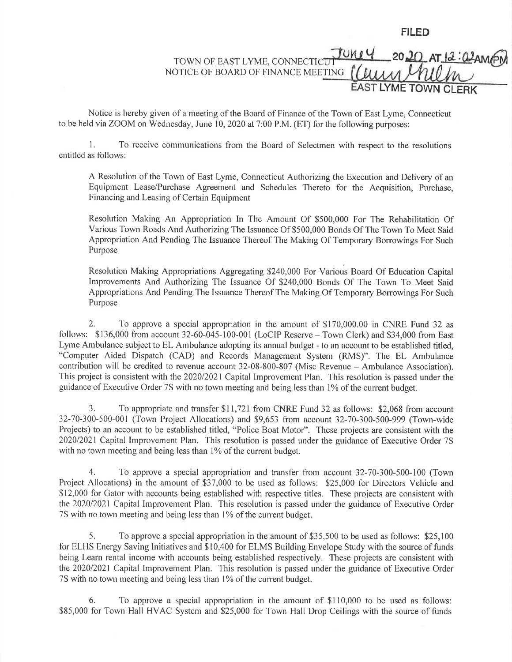FILED

## AT 12:02 AMPN TOWN OF EAST LYME, CONNECTICU NOTICE OF BOARD OF FINANCE MEETING LYME TOWN CLERK

Notice is hereby given of a meeting of the Board of Finance of the Town of East Lyme, Connecticut to be held via ZOOM on Wednesday, June 10,2020 at 7:00 P.M. (ET) for the following purposes:

1, To receive communications from the Board of Selectmen with respect to the resolutions entitled as follows:

A Resolution of the Town of East Lyme, Connecticut Authorizing the Execution and Delivery of an Equipment Lease/Purchase Agreement and Schedules Thereto for the Acquisition, Purchase, Financing and Leasing of Certain Equipment

Resolution Making An Appropriation In The Amount Of \$500,000 For The Rehabilitation Of Various Town Roads And Authorizing The Issuance Of \$500,000 Bonds Of The Town To Meet Said Appropriation And Pending The Issuance Thereof The Making Of Temporary Borrowings For Such Purpose

Resolution Making Appropriations Aggregating \$240,000 For Various Board Of Education Capital Improvements And Authorizing The Issuance Of \$240,000 Bonds Of The Town To Meet Said Appropriations And Pending The Issuance Thereof The Making Of Temporary Borrowings For Such Purpose

2. To approve a special appropriation in the amount of \$170,000.00 in CNRE Fund 32 as follows: \$136,000 from account 32-60-045-100-001 (LoCIP Reserve - Town Clerk) and \$34,000 from East Lyme Ambulance subject to EL Ambulance adopting its annual budget - to an account to be established titled, "Computer Aided Dispatch (CAD) and Records Management System (RMS)". The EL Ambulance contribution will be credited to revenue account 32-08-800-807 (Misc Revenue - Ambulance Association). This project is consistent with the 2020/2021 Capital Improvement Plan. This resolution is passed under the guidance of Executive Order 7S with no town meeting and being less than 1% of the current budget.

3. To appropriate and transfer \$ll,72l from CNRE Fund 32 as follows: \$2,068 from account 32-70-300-500-001 (Town Project Allocations) and \$9,653 from account 32-70-300-500-999 (Town-wide Projects) to an account to be established titled, "Police Boat Motor". These projects are consistent with the 202012021 Capital Improvement Plan. This resolution is passed under the guidance of Executive Order 75 with no town meeting and being less than 1% of the current budget.

4. To approve a special appropriation and transfer from account 32-70-300-500-100 (Town Project Allocations) in the amount of \$37,000 to be used as follows: \$25,000 for Directors Vehicle and \$12,000 for Gator with accounts being established with respective titles. These projects are consistent with the 2020/2021 Capital Improvement Plan. This resolution is passed under the guidance of Executive Order 75 with no town meeting and being less than 1% of the current budget.

5. To approve a specialappropriation in the amount of \$35,500 to be used as follows: \$25,100 for ELHS Energy Saving lnitiatives and \$10,400 for ELMS Building Envelope Study with the source of funds being Learn rental income with accounts being established respectively. These projects are consistent with the 2020/2021 Capital Improvement Plan. This resolution is passed under the guidance of Executive Order 75 with no town meeting and being less than 1% of the current budget.

6. To approve a special appropriation in the amount of \$110,000 to be used as follows: \$85,000 for Town Hall HVAC System and \$25,000 for Town Hall Drop Ceilings with the source of funds